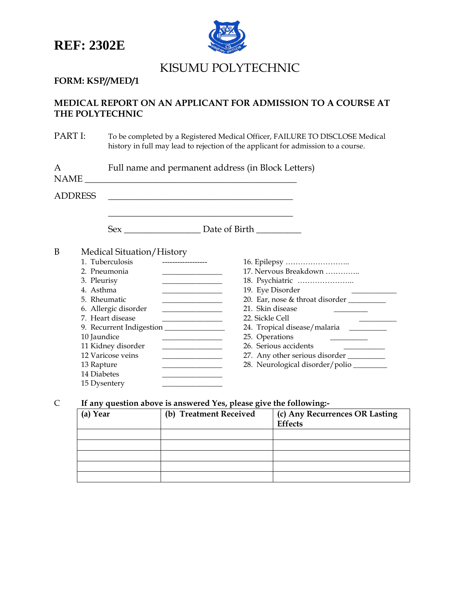

# KISUMU POLYTECHNIC

# **FORM: KSP//MED/1**

# **MEDICAL REPORT ON AN APPLICANT FOR ADMISSION TO A COURSE AT THE POLYTECHNIC**

PART I: To be completed by a Registered Medical Officer, FAILURE TO DISCLOSE Medical history in full may lead to rejection of the applicant for admission to a course.

| A<br>NAME <sub>-</sub> |                                                                                                                                                      | Full name and permanent address (in Block Letters)<br><u> 1989 - Johann Barn, mars ann an t-Amhain Aonaich an t-Aonaich an t-Aonaich an t-Aonaich an t-Aonaich an t-Aon</u>                                                                           |  |  |  |  |  |
|------------------------|------------------------------------------------------------------------------------------------------------------------------------------------------|-------------------------------------------------------------------------------------------------------------------------------------------------------------------------------------------------------------------------------------------------------|--|--|--|--|--|
|                        | <b>ADDRESS</b>                                                                                                                                       | the contract of the contract of the contract of the contract of the contract of the contract of                                                                                                                                                       |  |  |  |  |  |
|                        |                                                                                                                                                      |                                                                                                                                                                                                                                                       |  |  |  |  |  |
| B                      | Medical Situation/History<br>1. Tuberculosis<br>2. Pneumonia<br>3. Pleurisy<br>4. Asthma<br>5. Rheumatic<br>6. Allergic disorder<br>7. Heart disease | 17. Nervous Breakdown<br><u> 1980 - Johann Barbara, martin a</u><br>19. Eye Disorder<br>20. Ear, nose & throat disorder<br><u> 1980 - Johann Barbara, martxa al</u><br>21. Skin disease<br><u> 1980 - Johann Barbara, martin a</u><br>22. Sickle Cell |  |  |  |  |  |
|                        | 10 Jaundice<br>11 Kidney disorder<br>12 Varicose veins<br>13 Rapture<br>14 Diabetes<br>15 Dysentery                                                  | 24. Tropical disease/malaria _________<br>25. Operations<br>26. Serious accidents<br>27. Any other serious disorder<br>28. Neurological disorder/polio                                                                                                |  |  |  |  |  |

# C **If any question above is answered Yes, please give the following:-**

| . .      |                        |                                |
|----------|------------------------|--------------------------------|
| (a) Year | (b) Treatment Received | (c) Any Recurrences OR Lasting |
|          |                        | Effects                        |
|          |                        |                                |
|          |                        |                                |
|          |                        |                                |
|          |                        |                                |
|          |                        |                                |